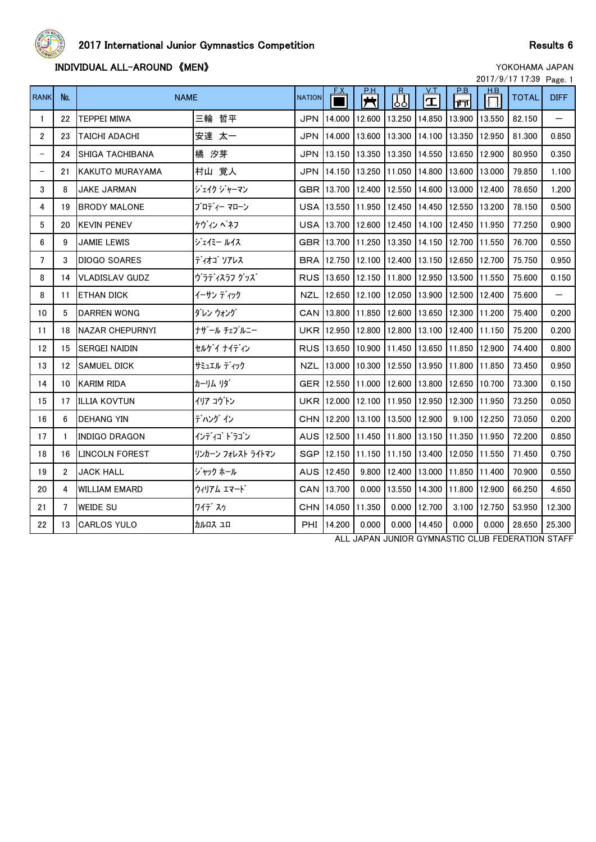

## **INDIVIDUAL ALL-AROUND 《MEN》 WEN**

|                   |                 |                        |                   |               |             |                                     |        |                           |              |        | 2017/9/17 17:39 Page. 1 |             |
|-------------------|-----------------|------------------------|-------------------|---------------|-------------|-------------------------------------|--------|---------------------------|--------------|--------|-------------------------|-------------|
| <b>RANK</b>       | No.             | <b>NAME</b>            |                   | <b>NATION</b> |             | <u>P.H</u><br>$\overline{\bm{\pi}}$ | 网      | <u>V.T</u><br>$\mathbf T$ | P.B<br>∣ गंग | H.B    | <b>TOTAL</b>            | <b>DIFF</b> |
| 1                 | 22              | <b>TEPPEI MIWA</b>     | 三輪 哲平             | <b>JPN</b>    | 14.000      | 12.600                              | 13.250 | 14.850                    | 13.900       | 13.550 | 82.150                  |             |
| $\overline{2}$    | 23              | TAICHI ADACHI          | 安達 太一             | <b>JPN</b>    | 14.000      | 13.600                              | 13,300 | 14.100                    | 13.350       | 12.950 | 81.300                  | 0.850       |
| $\qquad \qquad -$ | 24              | SHIGA TACHIBANA        | 橘 汐芽              | <b>JPN</b>    | 13.150      | 13.350                              | 13.350 | 14.550                    | 13.650       | 12.900 | 80.950                  | 0.350       |
| $\qquad \qquad -$ | 21              | KAKUTO MURAYAMA        | 村山 覚人             | <b>JPN</b>    | 14.150      | 13.250                              | 11.050 | 14.800                    | 13.600       | 13,000 | 79.850                  | 1.100       |
| 3                 | 8               | <b>JAKE JARMAN</b>     | ジェイク ジャーマン        | <b>GBR</b>    | 13.700      | 12.400                              | 12.550 | 14.600                    | 13.000       | 12.400 | 78.650                  | 1.200       |
| 4                 | 19              | <b>BRODY MALONE</b>    | ブロディー マローン        |               | USA 13.550  | 11.950                              | 12.450 | 14.450                    | 12.550       | 13.200 | 78.150                  | 0.500       |
| 5                 | 20              | <b>KEVIN PENEV</b>     | ケヴィン ペネフ          | USA           | 13.700      | 12.600                              | 12.450 | 14.100                    | 12.450       | 11.950 | 77.250                  | 0.900       |
| 6                 | 9               | JAMIE LEWIS            | ジェイミー ルイス         |               | GBR 13.700  | 11.250                              | 13.350 | 14.150                    | 12.700       | 11.550 | 76.700                  | 0.550       |
| $\overline{7}$    | 3               | <b>DIOGO SOARES</b>    | ディオゴ ソアレス         | <b>BRA</b>    | 12.750      | 12.100                              | 12.400 | 13.150                    | 12.650       | 12.700 | 75.750                  | 0.950       |
| 8                 | 14              | <b>VLADISLAV GUDZ</b>  | ヴラディスラフ グッズ       |               | RUS 13.650  | 12.150                              | 11.800 | 12.950                    | 13.500       | 11.550 | 75.600                  | 0.150       |
| 8                 | 11              | <b>ETHAN DICK</b>      | イーサン ディック         | <b>NZL</b>    | 12.650      | 12.100                              | 12.050 | 13.900                    | 12.500       | 12.400 | 75.600                  |             |
| 10                | 5               | <b>DARREN WONG</b>     | ダレン ウォング          |               | CAN 13.800  | 11.850                              | 12.600 | 13.650                    | 12.300       | 11.200 | 75.400                  | 0.200       |
| 11                | 18              | <b>NAZAR CHEPURNYI</b> | ナザール チェプルニー       | <b>UKR</b>    | 12.950      | 12.800                              | 12.800 | 13.100                    | 12.400       | 11.150 | 75.200                  | 0.200       |
| 12                | 15              | <b>SERGEI NAIDIN</b>   | セルゲイナイディン         |               | RUS 13.650  | 10.900                              | 11.450 | 13.650                    | 11.850       | 12.900 | 74.400                  | 0.800       |
| 13                | 12 <sup>2</sup> | <b>SAMUEL DICK</b>     | サミュエル ディック        | NZL           | 13.000      | 10.300                              | 12.550 | 13.950                    | 11.800       | 11.850 | 73.450                  | 0.950       |
| 14                | 10              | <b>KARIM RIDA</b>      | カーリム リダ゛          |               | GER 112.550 | 11.000                              | 12.600 | 13.800                    | 12.650       | 10.700 | 73.300                  | 0.150       |
| 15                | 17              | <b>ILLIA KOVTUN</b>    | イリア コウトン          | <b>UKR</b>    | 12.000      | 12.100                              | 11.950 | 12.950                    | 12.300       | 11.950 | 73.250                  | 0.050       |
| 16                | 6               | <b>DEHANG YIN</b>      | デハングイン            | <b>CHN</b>    | 12.200      | 13.100                              | 13.500 | 12.900                    | 9.100        | 12.250 | 73.050                  | 0.200       |
| 17                | $\mathbf{1}$    | <b>INDIGO DRAGON</b>   | インディゴドラゴン         |               | AUS 12.500  | 11.450                              | 11,800 | 13.150                    | 11.350       | 11.950 | 72.200                  | 0.850       |
| 18                | 16              | LINCOLN FOREST         | リンカーン フォレスト ライトマン | <b>SGP</b>    | 12.150      | 11.150                              | 11.150 | 13.400                    | 12.050       | 11.550 | 71.450                  | 0.750       |
| 19                | $\overline{2}$  | <b>JACK HALL</b>       | ジャック ホール          |               | AUS 12.450  | 9.800                               | 12.400 | 13.000                    | 11.850       | 11.400 | 70.900                  | 0.550       |
| 20                | 4               | <b>WILLIAM EMARD</b>   | ウィリアム エマード        | CAN           | 13.700      | 0.000                               | 13.550 | 14.300                    | 11.800       | 12.900 | 66.250                  | 4.650       |
| 21                | $\overline{7}$  | <b>WEIDE SU</b>        | ワイデ スゥ            | CHN           | 14.050      | 11.350                              | 0.000  | 12.700                    | 3.100        | 12.750 | 53.950                  | 12.300      |
| 22                | 13              | <b>CARLOS YULO</b>     | カルロス ユロ           | <b>PHI</b>    | 14.200      | 0.000                               | 0.000  | 14.450                    | 0.000        | 0.000  | 28.650                  | 25.300      |
|                   |                 |                        |                   |               |             |                                     |        |                           |              |        |                         |             |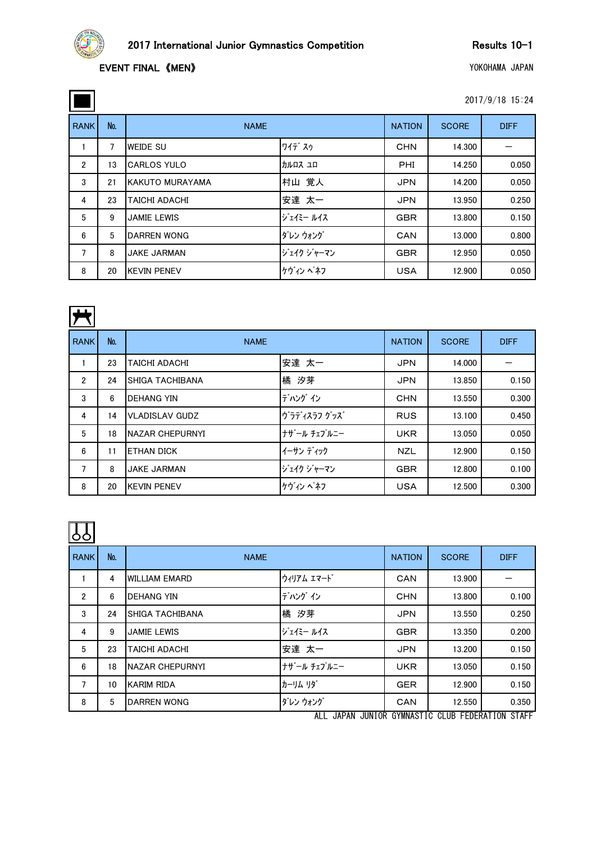

 $\Box$ 

| 2017/9/18 15:24 |
|-----------------|
|-----------------|

| <b>RANK</b> | No. | <b>NAME</b>        |            | <b>NATION</b> | <b>SCORE</b> | <b>DIFF</b> |
|-------------|-----|--------------------|------------|---------------|--------------|-------------|
|             | 7   | <b>WEIDE SU</b>    | ワイデスゥ      | <b>CHN</b>    | 14.300       |             |
| 2           | 13  | <b>CARLOS YULO</b> | カルロス ユロ    | <b>PHI</b>    | 14.250       | 0.050       |
| 3           | 21  | KAKUTO MURAYAMA    | 村山 覚人      | <b>JPN</b>    | 14.200       | 0.050       |
| 4           | 23  | TAICHI ADACHI      | 安達 太一      | <b>JPN</b>    | 13.950       | 0.250       |
| 5           | 9   | <b>JAMIE LEWIS</b> | ジェイミー ルイス  | <b>GBR</b>    | 13.800       | 0.150       |
| 6           | 5   | <b>DARREN WONG</b> | ダレン ウォング   | CAN           | 13.000       | 0.800       |
| 7           | 8   | <b>JAKE JARMAN</b> | ジェイク ジャーマン | <b>GBR</b>    | 12.950       | 0.050       |
| 8           | 20  | <b>KEVIN PENEV</b> | ケヴィン ペネフ   | <b>USA</b>    | 12.900       | 0.050       |

|--|

| <b>RANK</b>    | No. | <b>NAME</b>            | <b>NATION</b> | <b>SCORE</b> | <b>DIFF</b> |       |
|----------------|-----|------------------------|---------------|--------------|-------------|-------|
|                | 23  | <b>TAICHI ADACHI</b>   | 安達 太一         | <b>JPN</b>   |             |       |
| $\overline{2}$ | 24  | <b>SHIGA TACHIBANA</b> | 橘 汐芽          | <b>JPN</b>   | 13.850      | 0.150 |
| 3              | 6   | <b>DEHANG YIN</b>      | デハング イン       | <b>CHN</b>   | 13.550      | 0.300 |
| 4              | 14  | <b>VLADISLAV GUDZ</b>  | ヴラディスラフ グッズ   | <b>RUS</b>   | 13.100      | 0.450 |
| 5              | 18  | <b>NAZAR CHEPURNYI</b> | ナザール チェプルニー   | <b>UKR</b>   | 13.050      | 0.050 |
| 6              | 11  | <b>ETHAN DICK</b>      | イーサンディック      | <b>NZL</b>   | 12.900      | 0.150 |
| 7              | 8   | <b>JAKE JARMAN</b>     | ジェイク ジャーマン    | <b>GBR</b>   | 12.800      | 0.100 |
| 8              | 20  | <b>KEVIN PENEV</b>     | ケヴィン ペネフ      | <b>USA</b>   | 12.500      | 0.300 |



| $\sim$         |     |                        |                              |               |              |                                        |
|----------------|-----|------------------------|------------------------------|---------------|--------------|----------------------------------------|
| <b>RANK</b>    | No. | <b>NAME</b>            |                              | <b>NATION</b> | <b>SCORE</b> | <b>DIFF</b>                            |
|                | 4   | <b>WILLIAM EMARD</b>   | ウィリアム エマード                   | CAN           | 13.900       |                                        |
| $\overline{2}$ | 6   | <b>DEHANG YIN</b>      | デハングイン                       | <b>CHN</b>    | 13.800       | 0.100                                  |
| 3              | 24  | <b>SHIGA TACHIBANA</b> | 橘 汐芽                         | <b>JPN</b>    | 13.550       | 0.250                                  |
| 4              | 9   | <b>JAMIE LEWIS</b>     | ジェイミー ルイス                    | <b>GBR</b>    | 13.350       | 0.200                                  |
| 5              | 23  | TAICHI ADACHI          | 安達 太一                        | <b>JPN</b>    | 13.200       | 0.150                                  |
| 6              | 18  | <b>NAZAR CHEPURNYI</b> | ナザール チェプルニー                  | <b>UKR</b>    | 13.050       | 0.150                                  |
| 7              | 10  | <b>KARIM RIDA</b>      | カーリム リダ                      | <b>GER</b>    | 12.900       | 0.150                                  |
| 8              | 5   | <b>DARREN WONG</b>     | ダレン ウォング                     | CAN           | 12.550       | 0.350                                  |
|                |     |                        | $\lambda$ ll<br><b>IADAN</b> |               |              | HINIOR CVMNASTIC CLUB EEDERATION STAFF |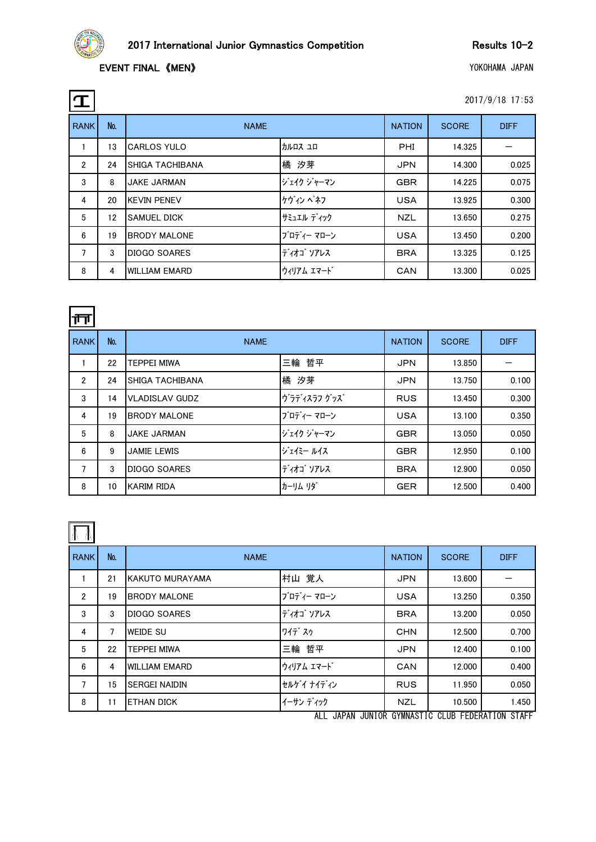

 $\Box$ 

| 2017/9/18 17:53 |  |
|-----------------|--|
|                 |  |

| $\mathbf T$    |     |                        |             |               |              | 2017/9/18 17:53 |
|----------------|-----|------------------------|-------------|---------------|--------------|-----------------|
| <b>RANK</b>    | No. | <b>NAME</b>            |             | <b>NATION</b> | <b>SCORE</b> | <b>DIFF</b>     |
|                | 13  | <b>CARLOS YULO</b>     | カルロス ユロ     | <b>PHI</b>    | 14.325       |                 |
| $\overline{2}$ | 24  | <b>SHIGA TACHIBANA</b> | 橘 汐芽        | <b>JPN</b>    | 14.300       | 0.025           |
| 3              | 8   | <b>JAKE JARMAN</b>     | ジェイク ジャーマン  | <b>GBR</b>    | 14.225       | 0.075           |
| 4              | 20  | <b>KEVIN PENEV</b>     | ケヴィン ペネフ    | <b>USA</b>    | 13.925       | 0.300           |
| 5              | 12  | <b>SAMUEL DICK</b>     | サミュエル ディック  | <b>NZL</b>    | 13.650       | 0.275           |
| 6              | 19  | <b>BRODY MALONE</b>    | ブロディー マローン  | <b>USA</b>    | 13.450       | 0.200           |
| $\overline{7}$ | 3   | <b>DIOGO SOARES</b>    | ディオゴ ソアレス   | <b>BRA</b>    | 13.325       | 0.125           |
| 8              | 4   | <b>WILLIAM EMARD</b>   | ウィリアム エマート゛ | CAN           | 13.300       | 0.025           |

| ∣ππ            |     |                        |             |               |              |             |
|----------------|-----|------------------------|-------------|---------------|--------------|-------------|
| <b>RANK</b>    | No. | <b>NAME</b>            |             | <b>NATION</b> | <b>SCORE</b> | <b>DIFF</b> |
|                | 22  | <b>TEPPEI MIWA</b>     | 三輪 哲平       | <b>JPN</b>    | 13.850       |             |
| $\overline{2}$ | 24  | <b>SHIGA TACHIBANA</b> | 橘 汐芽        | <b>JPN</b>    | 13.750       | 0.100       |
| 3              | 14  | <b>VLADISLAV GUDZ</b>  | ヴラディスラフ グッズ | <b>RUS</b>    | 13.450       | 0.300       |
| 4              | 19  | <b>BRODY MALONE</b>    | ブロディー マローン  | <b>USA</b>    | 13.100       | 0.350       |
| 5              | 8   | <b>JAKE JARMAN</b>     | ジェイク ジャーマン  | <b>GBR</b>    | 13.050       | 0.050       |
| 6              | 9   | <b>JAMIE LEWIS</b>     | ジェイミー ルイス   | <b>GBR</b>    | 12.950       | 0.100       |
| 7              | 3   | DIOGO SOARES           | ディオゴ ソアレス   | <b>BRA</b>    | 12.900       | 0.050       |
| 8              | 10  | <b>KARIM RIDA</b>      | カーリム リダ     | <b>GER</b>    | 12.500       | 0.400       |

| <b>RANK</b>    | No. | <b>NAME</b>          | <b>NATION</b> | <b>SCORE</b> | <b>DIFF</b> |       |
|----------------|-----|----------------------|---------------|--------------|-------------|-------|
|                | 21  | KAKUTO MURAYAMA      | 村山 覚人         | <b>JPN</b>   | 13.600      |       |
| $\overline{2}$ | 19  | <b>BRODY MALONE</b>  | ブロディー マローン    | <b>USA</b>   | 13.250      | 0.350 |
| 3              | 3   | <b>DIOGO SOARES</b>  | ディオゴ ソアレス     | <b>BRA</b>   | 13.200      | 0.050 |
| 4              | 7   | <b>WEIDE SU</b>      | ワイデスゥ         | <b>CHN</b>   | 12.500      | 0.700 |
| 5              | 22  | <b>TEPPEI MIWA</b>   | 三輪 哲平         | <b>JPN</b>   | 12.400      | 0.100 |
| 6              | 4   | <b>WILLIAM EMARD</b> | ウィリアム エマード    | CAN          | 12.000      | 0.400 |
| 7              | 15  | <b>SERGEI NAIDIN</b> | セルゲイナイディン     | <b>RUS</b>   | 11.950      | 0.050 |
| 8              | 11  | <b>ETHAN DICK</b>    | イーサン ディック     | <b>NZL</b>   | 10.500      | 1.450 |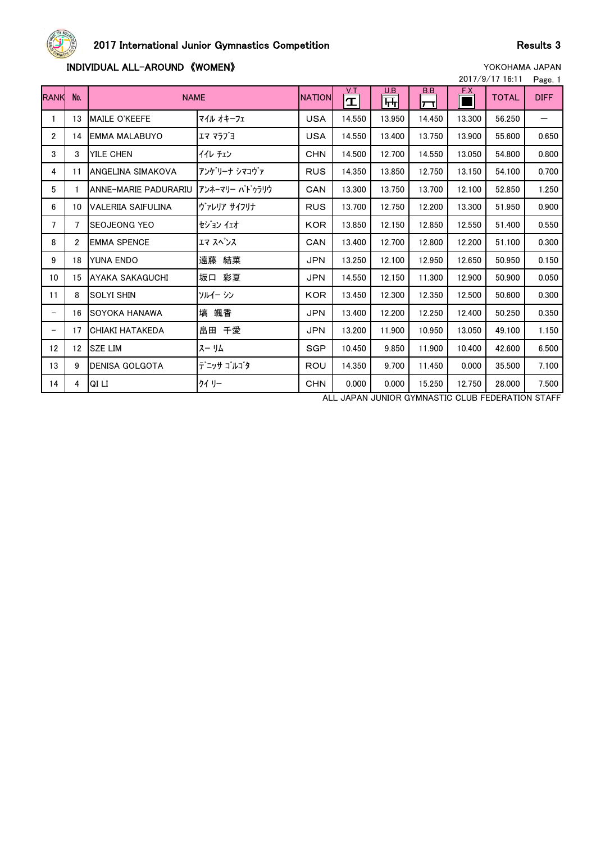

# 2017 International Junior Gymnastics Competition and Results 3

## **INDIVIDUAL ALL-AROUND 《WOMEN》 WOMEN**

|  |  |  |  |  | YUNUHAMA JAPAN |  |  |  |  |
|--|--|--|--|--|----------------|--|--|--|--|
|  |  |  |  |  |                |  |  |  |  |

| 2017/9/17 16:11   |                |                             |                 |               |                    |                 |                        |        |              |             |
|-------------------|----------------|-----------------------------|-----------------|---------------|--------------------|-----------------|------------------------|--------|--------------|-------------|
| <b>RANK</b>       | No.            | <b>NAME</b>                 |                 | <b>NATION</b> | V.T<br>$\mathbf T$ | <u>U.B</u><br>뻐 | <u>B.B</u><br>$ \Box $ | F.X    | <b>TOTAL</b> | <b>DIFF</b> |
| $\mathbf{1}$      | 13             | <b>MAILE O'KEEFE</b>        | マイル オキーフェ       | <b>USA</b>    | 14.550             | 13.950          | 14.450                 | 13.300 | 56.250       |             |
| $\overline{2}$    | 14             | <b>EMMA MALABUYO</b>        | エマ マラブヨ         | <b>USA</b>    | 14.550             | 13.400          | 13.750                 | 13.900 | 55.600       | 0.650       |
| 3                 | 3              | <b>YILE CHEN</b>            | イイレ チェン         | <b>CHN</b>    | 14.500             | 12.700          | 14.550                 | 13.050 | 54.800       | 0.800       |
| 4                 | 11             | ANGELINA SIMAKOVA           | アンケリーナ シマコウァ    | <b>RUS</b>    | 14.350             | 13.850          | 12.750                 | 13.150 | 54.100       | 0.700       |
| 5                 | 1.             | <b>ANNE-MARIE PADURARIU</b> | アンネーマリー ハト゛ゥラリウ | CAN           | 13.300             | 13.750          | 13.700                 | 12.100 | 52.850       | 1.250       |
| 6                 | 10             | <b>VALERIIA SAIFULINA</b>   | ヴァレリア サイフリナ     | <b>RUS</b>    | 13.700             | 12.750          | 12.200                 | 13.300 | 51.950       | 0.900       |
| 7                 | 7              | <b>SEOJEONG YEO</b>         | セジョン イェオ        | <b>KOR</b>    | 13.850             | 12.150          | 12.850                 | 12.550 | 51.400       | 0.550       |
| 8                 | $\mathfrak{p}$ | <b>EMMA SPENCE</b>          | エマ スペンス         | CAN           | 13.400             | 12.700          | 12.800                 | 12.200 | 51.100       | 0.300       |
| 9                 | 18             | <b>YUNA ENDO</b>            | 遠藤 結菜           | <b>JPN</b>    | 13.250             | 12.100          | 12.950                 | 12.650 | 50.950       | 0.150       |
| 10 <sup>°</sup>   | 15             | AYAKA SAKAGUCHI             | 坂口 彩夏           | <b>JPN</b>    | 14.550             | 12.150          | 11.300                 | 12.900 | 50.900       | 0.050       |
| 11                | 8              | <b>SOLYI SHIN</b>           | ソルイー シン         | <b>KOR</b>    | 13.450             | 12.300          | 12.350                 | 12.500 | 50.600       | 0.300       |
| $\qquad \qquad -$ | 16             | <b>SOYOKA HANAWA</b>        | 塙 颯香            | <b>JPN</b>    | 13.400             | 12.200          | 12.250                 | 12.400 | 50.250       | 0.350       |
|                   | 17             | <b>CHIAKI HATAKEDA</b>      | 畠田 千愛           | <b>JPN</b>    | 13.200             | 11.900          | 10.950                 | 13.050 | 49.100       | 1.150       |
| 12 <sup>2</sup>   | 12             | <b>SZE LIM</b>              | スーリム            | <b>SGP</b>    | 10.450             | 9.850           | 11.900                 | 10.400 | 42.600       | 6.500       |
| 13                | 9              | <b>DENISA GOLGOTA</b>       | デニッサ ゴルゴタ       | ROU           | 14.350             | 9.700           | 11.450                 | 0.000  | 35,500       | 7.100       |
| 14                | 4              | QI LI                       | クイリー            | <b>CHN</b>    | 0.000              | 0.000           | 15.250                 | 12.750 | 28.000       | 7.500       |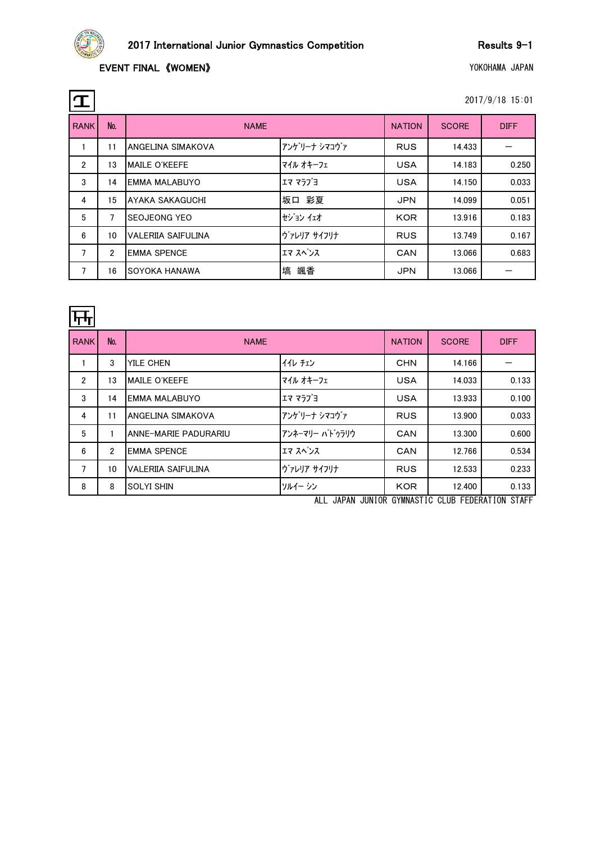

## EVENT FINAL 《WOMEN》 WELL THE SERVICE OF STATE STATE OF STATE OF STATE OF STATE OF STATE OF STATE OF STATE OF STATE OF STATE OF STATE OF STATE OF STATE OF STATE OF STATE OF STATE OF STATE OF STATE OF STATE OF STATE OF STATE

| $\mathbf T$    |                  |                           |              |               |              | 2017/9/18 15:01 |
|----------------|------------------|---------------------------|--------------|---------------|--------------|-----------------|
| <b>RANK</b>    | No.              | <b>NAME</b>               |              | <b>NATION</b> | <b>SCORE</b> | <b>DIFF</b>     |
|                | 11               | ANGELINA SIMAKOVA         | アンゲリーナ シマコヴァ | <b>RUS</b>    | 14.433       |                 |
| $\overline{2}$ | 13               | MAILE O'KEEFE             | マイル オキーフェ    | <b>USA</b>    | 14.183       | 0.250           |
| 3              | 14               | EMMA MALABUYO             | エマ マラブヨ      | <b>USA</b>    | 14.150       | 0.033           |
| 4              | 15               | AYAKA SAKAGUCHI           | 坂口 彩夏        | <b>JPN</b>    | 14.099       | 0.051           |
| 5              | 7                | <b>SEOJEONG YEO</b>       | セジョンイェオ      | <b>KOR</b>    | 13.916       | 0.183           |
| 6              | 10 <sup>10</sup> | <b>VALERIIA SAIFULINA</b> | ヴァレリア サイフリナ  | <b>RUS</b>    | 13.749       | 0.167           |
| $\overline{7}$ | 2                | <b>EMMA SPENCE</b>        | エマ スペンス      | <b>CAN</b>    | 13.066       | 0.683           |
| 7              | 16               | <b>SOYOKA HANAWA</b>      | 塙 颯香         | <b>JPN</b>    | 13.066       |                 |

| ┡┯┿            |                |                          |                 |               |              |             |
|----------------|----------------|--------------------------|-----------------|---------------|--------------|-------------|
| <b>RANK</b>    | No.            | <b>NAME</b>              |                 | <b>NATION</b> | <b>SCORE</b> | <b>DIFF</b> |
|                | 3              | YILE CHEN                | イイレ チェン         | <b>CHN</b>    | 14.166       |             |
| $\overline{2}$ | 13             | MAILE O'KEEFE            | マイル オキーフェ       | <b>USA</b>    | 14.033       | 0.133       |
| 3              | 14             | <b>EMMA MALABUYO</b>     | エマ マラブヨ         | <b>USA</b>    | 13.933       | 0.100       |
| 4              | 11             | <b>ANGELINA SIMAKOVA</b> | アンケリーナ シマコヴァ    | <b>RUS</b>    | 13.900       | 0.033       |
| 5              |                | ANNE-MARIE PADURARIU     | アンネーマリー パト゛ゥラリウ | <b>CAN</b>    | 13.300       | 0.600       |
| 6              | $\overline{2}$ | <b>EMMA SPENCE</b>       | エマ スペンス         | <b>CAN</b>    | 12.766       | 0.534       |
| $\overline{7}$ | 10             | VALERIIA SAIFULINA       | ヴァレリア サイフリナ     | <b>RUS</b>    | 12.533       | 0.233       |
| 8              | 8              | <b>SOLYI SHIN</b>        | ソルイー シン         | <b>KOR</b>    | 12.400       | 0.133       |